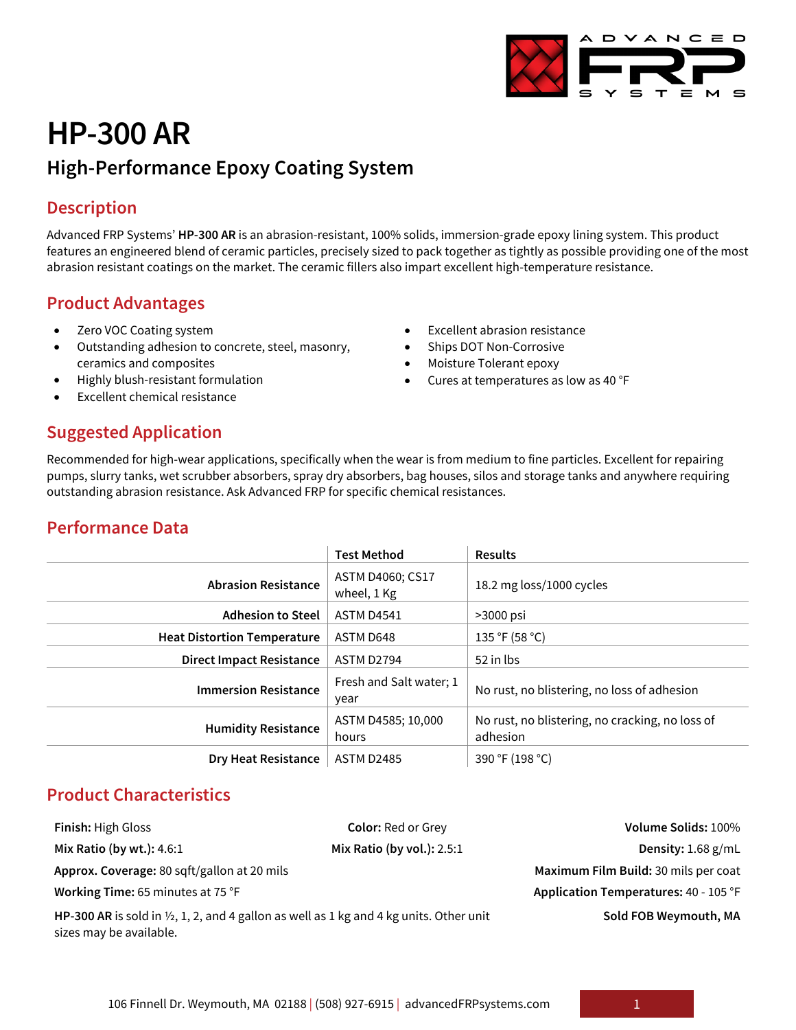# **HP-300 AR High-Performance Epoxy Coating System**

# **Description**

Advanced FRP Systems' **HP-300 AR** is an abrasion-resistant, 100% solids, immersion-grade epoxy lining system. This product features an engineered blend of ceramic particles, precisely sized to pack together as tightly as possible providing one of the most abrasion resistant coatings on the market. The ceramic fillers also impart excellent high-temperature resistance.

#### **Product Advantages**

- Zero VOC Coating system
- Outstanding adhesion to concrete, steel, masonry, ceramics and composites
- Highly blush-resistant formulation
- Excellent chemical resistance

#### Ships DOT Non-Corrosive

• Moisture Tolerant epoxy

**Excellent abrasion resistance** 

• Cures at temperatures as low as 40 °F

#### **Suggested Application**

Recommended for high-wear applications, specifically when the wear is from medium to fine particles. Excellent for repairing pumps, slurry tanks, wet scrubber absorbers, spray dry absorbers, bag houses, silos and storage tanks and anywhere requiring outstanding abrasion resistance. Ask Advanced FRP for specific chemical resistances.

# **Performance Data**

|                                    | <b>Test Method</b>              | <b>Results</b>                                              |
|------------------------------------|---------------------------------|-------------------------------------------------------------|
| <b>Abrasion Resistance</b>         | ASTM D4060; CS17<br>wheel, 1 Kg | 18.2 mg loss/1000 cycles                                    |
| <b>Adhesion to Steel</b>           | <b>ASTM D4541</b>               | >3000 psi                                                   |
| <b>Heat Distortion Temperature</b> | ASTM D648                       | 135 °F (58 °C)                                              |
| <b>Direct Impact Resistance</b>    | ASTM D2794                      | 52 in lbs                                                   |
| <b>Immersion Resistance</b>        | Fresh and Salt water; 1<br>year | No rust, no blistering, no loss of adhesion                 |
| <b>Humidity Resistance</b>         | ASTM D4585; 10,000<br>hours     | No rust, no blistering, no cracking, no loss of<br>adhesion |
| <b>Dry Heat Resistance</b>         | <b>ASTM D2485</b>               | 390 °F (198 °C)                                             |

# **Product Characteristics**

**Approx. Coverage:** 80 sqft/gallon at 20 mils **Maximum Film Build:** 30 mils per coat

**Finish:** High Gloss **Color:** Red or Grey **Volume Solids:** 100% **Mix Ratio (by wt.):** 4.6:1 **Mix Ratio (by vol.):** 2.5:1 **Density:** 1.68 g/mL **Working Time:** 65 minutes at 75 °F **Application Temperatures:** 40 - 105 °F **Sold FOB Weymouth, MA**

**HP-300 AR** is sold in ½, 1, 2, and 4 gallon as well as 1 kg and 4 kg units. Other unit sizes may be available.

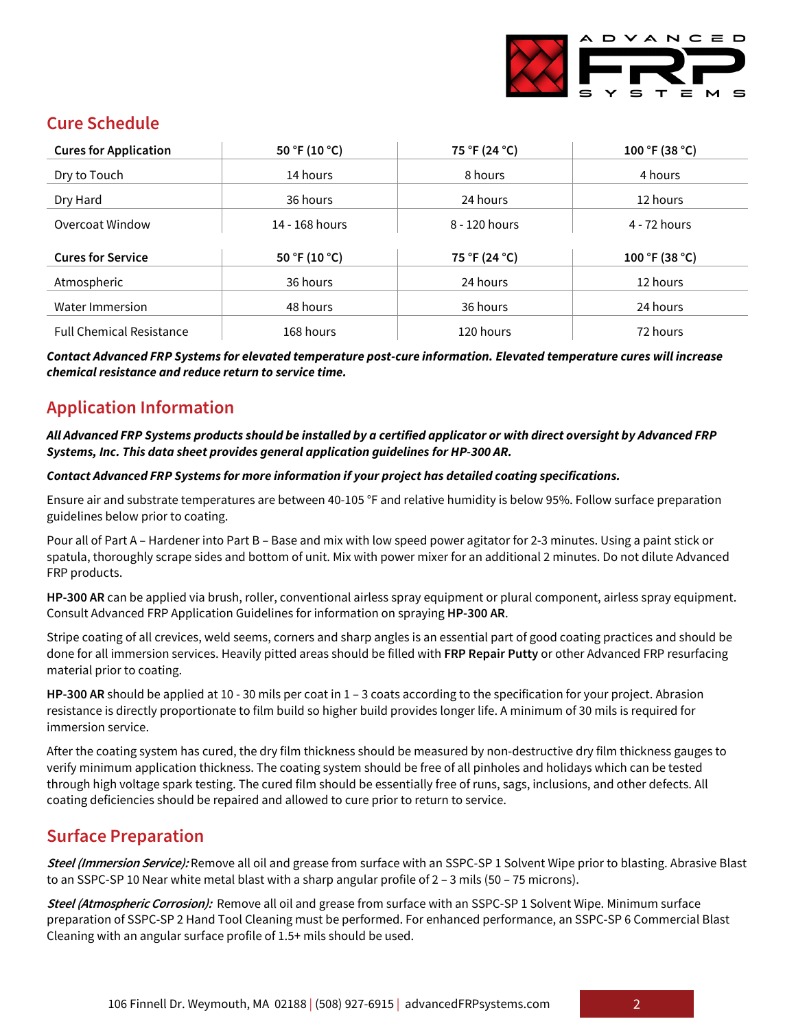

# **Cure Schedule**

| <b>Cures for Application</b>    | 50 °F (10 °C)  | 75 °F (24 °C) | 100 °F (38 °C) |
|---------------------------------|----------------|---------------|----------------|
| Dry to Touch                    | 14 hours       | 8 hours       | 4 hours        |
| Dry Hard                        | 36 hours       | 24 hours      | 12 hours       |
| Overcoat Window                 | 14 - 168 hours | 8 - 120 hours | 4 - 72 hours   |
| <b>Cures for Service</b>        | 50 °F (10 °C)  | 75 °F (24 °C) | 100 °F (38 °C) |
| Atmospheric                     | 36 hours       | 24 hours      | 12 hours       |
| Water Immersion                 | 48 hours       | 36 hours      | 24 hours       |
| <b>Full Chemical Resistance</b> | 168 hours      | 120 hours     | 72 hours       |

*Contact Advanced FRP Systems for elevated temperature post-cure information. Elevated temperature cures will increase chemical resistance and reduce return to service time.*

# **Application Information**

#### *All Advanced FRP Systems products should be installed by a certified applicator or with direct oversight by Advanced FRP Systems, Inc. This data sheet provides general application guidelines for HP-300 AR.*

#### *Contact Advanced FRP Systems for more information if your project has detailed coating specifications.*

Ensure air and substrate temperatures are between 40-105 °F and relative humidity is below 95%. Follow surface preparation guidelines below prior to coating.

Pour all of Part A – Hardener into Part B – Base and mix with low speed power agitator for 2-3 minutes. Using a paint stick or spatula, thoroughly scrape sides and bottom of unit. Mix with power mixer for an additional 2 minutes. Do not dilute Advanced FRP products.

**HP-300 AR** can be applied via brush, roller, conventional airless spray equipment or plural component, airless spray equipment. Consult Advanced FRP Application Guidelines for information on spraying **HP-300 AR**.

Stripe coating of all crevices, weld seems, corners and sharp angles is an essential part of good coating practices and should be done for all immersion services. Heavily pitted areas should be filled with **FRP Repair Putty** or other Advanced FRP resurfacing material prior to coating.

**HP-300 AR** should be applied at 10 - 30 mils per coat in 1 – 3 coats according to the specification for your project. Abrasion resistance is directly proportionate to film build so higher build provides longer life. A minimum of 30 mils is required for immersion service.

After the coating system has cured, the dry film thickness should be measured by non-destructive dry film thickness gauges to verify minimum application thickness. The coating system should be free of all pinholes and holidays which can be tested through high voltage spark testing. The cured film should be essentially free of runs, sags, inclusions, and other defects. All coating deficiencies should be repaired and allowed to cure prior to return to service.

# **Surface Preparation**

**Steel (Immersion Service):** Remove all oil and grease from surface with an SSPC-SP 1 Solvent Wipe prior to blasting. Abrasive Blast to an SSPC-SP 10 Near white metal blast with a sharp angular profile of 2 - 3 mils (50 - 75 microns).

**Steel (Atmospheric Corrosion):** Remove all oil and grease from surface with an SSPC-SP 1 Solvent Wipe. Minimum surface preparation of SSPC-SP 2 Hand Tool Cleaning must be performed. For enhanced performance, an SSPC-SP 6 Commercial Blast Cleaning with an angular surface profile of 1.5+ mils should be used.